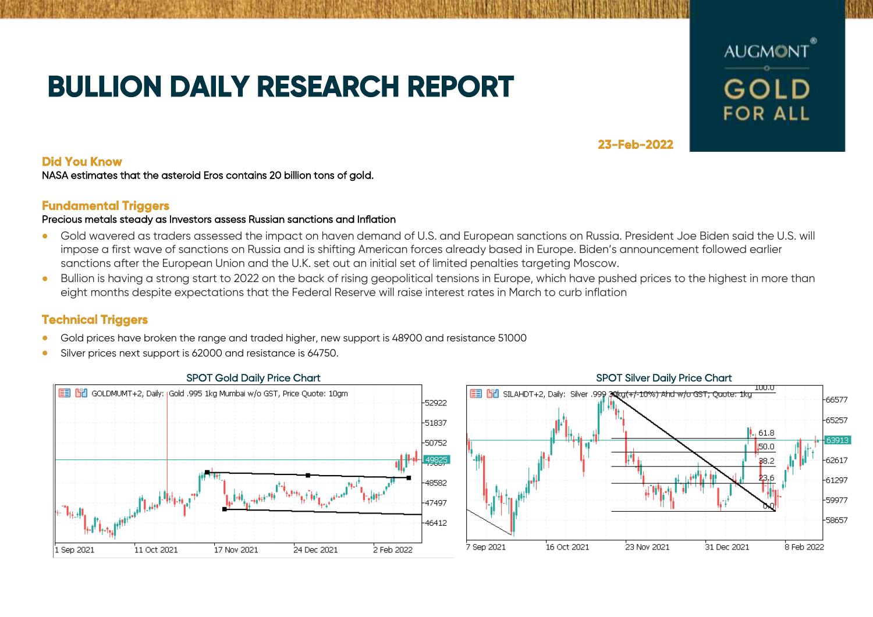# **BULLION DAILY RESEARCH REPORT**



**23-Feb-2022** 

### **Did You Know**

NASA estimates that the asteroid Eros contains 20 billion tons of gold.

### **Fundamental Triggers**

#### Precious metals steady as Investors assess Russian sanctions and Inflation

- Gold wavered as traders assessed the impact on haven demand of U.S. and European sanctions on Russia. President Joe Biden said the U.S. will impose a first wave of sanctions on Russia and is shifting American forces already based in Europe. Biden's announcement followed earlier sanctions after the European Union and the U.K. set out an initial set of limited penalties targeting Moscow.
- Bullion is having a strong start to 2022 on the back of rising geopolitical tensions in Europe, which have pushed prices to the highest in more than eight months despite expectations that the Federal Reserve will raise interest rates in March to curb inflation

## **Technical Triggers**

- Gold prices have broken the range and traded higher, new support is 48900 and resistance 51000
- Silver prices next support is 62000 and resistance is 64750.